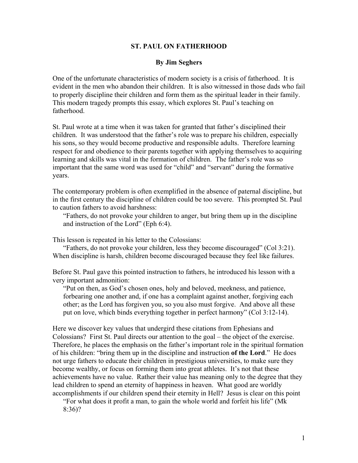## **ST. PAUL ON FATHERHOOD**

## **By Jim Seghers**

One of the unfortunate characteristics of modern society is a crisis of fatherhood. It is evident in the men who abandon their children. It is also witnessed in those dads who fail to properly discipline their children and form them as the spiritual leader in their family. This modern tragedy prompts this essay, which explores St. Paul's teaching on fatherhood.

St. Paul wrote at a time when it was taken for granted that father's disciplined their children. It was understood that the father's role was to prepare his children, especially his sons, so they would become productive and responsible adults. Therefore learning respect for and obedience to their parents together with applying themselves to acquiring learning and skills was vital in the formation of children. The father's role was so important that the same word was used for "child" and "servant" during the formative years.

The contemporary problem is often exemplified in the absence of paternal discipline, but in the first century the discipline of children could be too severe. This prompted St. Paul to caution fathers to avoid harshness:

"Fathers, do not provoke your children to anger, but bring them up in the discipline and instruction of the Lord" (Eph 6:4).

This lesson is repeated in his letter to the Colossians:

"Fathers, do not provoke your children, less they become discouraged" (Col 3:21). When discipline is harsh, children become discouraged because they feel like failures.

Before St. Paul gave this pointed instruction to fathers, he introduced his lesson with a very important admonition:

"Put on then, as God's chosen ones, holy and beloved, meekness, and patience, forbearing one another and, if one has a complaint against another, forgiving each other; as the Lord has forgiven you, so you also must forgive. And above all these put on love, which binds everything together in perfect harmony" (Col 3:12-14).

Here we discover key values that undergird these citations from Ephesians and Colossians? First St. Paul directs our attention to the goal – the object of the exercise. Therefore, he places the emphasis on the father's important role in the spiritual formation of his children: "bring them up in the discipline and instruction **of the Lord**." He does not urge fathers to educate their children in prestigious universities, to make sure they become wealthy, or focus on forming them into great athletes. It's not that these achievements have no value. Rather their value has meaning only to the degree that they lead children to spend an eternity of happiness in heaven. What good are worldly accomplishments if our children spend their eternity in Hell? Jesus is clear on this point

"For what does it profit a man, to gain the whole world and forfeit his life" (Mk 8:36)?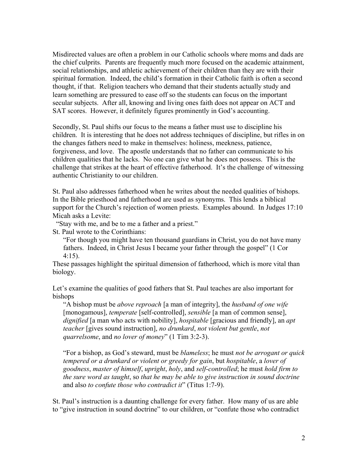Misdirected values are often a problem in our Catholic schools where moms and dads are the chief culprits. Parents are frequently much more focused on the academic attainment, social relationships, and athletic achievement of their children than they are with their spiritual formation. Indeed, the child's formation in their Catholic faith is often a second thought, if that. Religion teachers who demand that their students actually study and learn something are pressured to ease off so the students can focus on the important secular subjects. After all, knowing and living ones faith does not appear on ACT and SAT scores. However, it definitely figures prominently in God's accounting.

Secondly, St. Paul shifts our focus to the means a father must use to discipline his children. It is interesting that he does not address techniques of discipline, but rifles in on the changes fathers need to make in themselves: holiness, meekness, patience, forgiveness, and love. The apostle understands that no father can communicate to his children qualities that he lacks. No one can give what he does not possess. This is the challenge that strikes at the heart of effective fatherhood. It's the challenge of witnessing authentic Christianity to our children.

St. Paul also addresses fatherhood when he writes about the needed qualities of bishops. In the Bible priesthood and fatherhood are used as synonyms. This lends a biblical support for the Church's rejection of women priests. Examples abound. In Judges 17:10 Micah asks a Levite:

"Stay with me, and be to me a father and a priest."

St. Paul wrote to the Corinthians:

"For though you might have ten thousand guardians in Christ, you do not have many fathers. Indeed, in Christ Jesus I became your father through the gospel" (1 Cor 4:15).

These passages highlight the spiritual dimension of fatherhood, which is more vital than biology.

Let's examine the qualities of good fathers that St. Paul teaches are also important for bishops

"A bishop must be *above reproach* [a man of integrity], the *husband of one wife* [monogamous], *temperate* [self-controlled], *sensible* [a man of common sense], *dignified* [a man who acts with nobility], *hospitable* [gracious and friendly], an *apt teacher* [gives sound instruction], *no drunkard*, *not violent but gentle*, *not quarrelsome*, and *no lover of money*" (1 Tim 3:2-3).

"For a bishop, as God's steward, must be *blameless*; he must *not be arrogant or quick tempered or a drunkard or violent or greedy for gain*, but *hospitable*, a *lover of goodness*, *master of himself*, *upright*, *holy*, and *self-controlled*; he must *hold firm to the sure word as taught*, so *that he may be able to give instruction in sound doctrine* and also *to confute those who contradict it*" (Titus 1:7-9).

St. Paul's instruction is a daunting challenge for every father. How many of us are able to "give instruction in sound doctrine" to our children, or "confute those who contradict